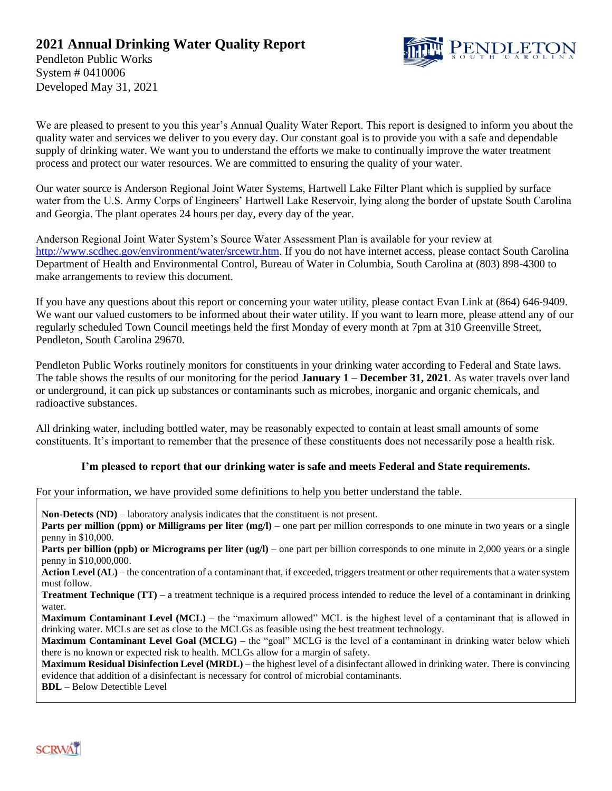### **2021 Annual Drinking Water Quality Report**



Pendleton Public Works System # 0410006 Developed May 31, 2021

We are pleased to present to you this year's Annual Quality Water Report. This report is designed to inform you about the quality water and services we deliver to you every day. Our constant goal is to provide you with a safe and dependable supply of drinking water. We want you to understand the efforts we make to continually improve the water treatment process and protect our water resources. We are committed to ensuring the quality of your water.

Our water source is Anderson Regional Joint Water Systems, Hartwell Lake Filter Plant which is supplied by surface water from the U.S. Army Corps of Engineers' Hartwell Lake Reservoir, lying along the border of upstate South Carolina and Georgia. The plant operates 24 hours per day, every day of the year.

Anderson Regional Joint Water System's Source Water Assessment Plan is available for your review at [http://www.scdhec.gov/environment/water/srcewtr.htm.](http://www.scdhec.gov/environment/water/srcewtr.htm) If you do not have internet access, please contact South Carolina Department of Health and Environmental Control, Bureau of Water in Columbia, South Carolina at (803) 898-4300 to make arrangements to review this document.

If you have any questions about this report or concerning your water utility, please contact Evan Link at (864) 646-9409. We want our valued customers to be informed about their water utility. If you want to learn more, please attend any of our regularly scheduled Town Council meetings held the first Monday of every month at 7pm at 310 Greenville Street, Pendleton, South Carolina 29670.

Pendleton Public Works routinely monitors for constituents in your drinking water according to Federal and State laws. The table shows the results of our monitoring for the period **January 1 – December 31, 2021**. As water travels over land or underground, it can pick up substances or contaminants such as microbes, inorganic and organic chemicals, and radioactive substances.

All drinking water, including bottled water, may be reasonably expected to contain at least small amounts of some constituents. It's important to remember that the presence of these constituents does not necessarily pose a health risk.

#### **I'm pleased to report that our drinking water is safe and meets Federal and State requirements.**

For your information, we have provided some definitions to help you better understand the table.

**Non-Detects (ND)** – laboratory analysis indicates that the constituent is not present.

**Parts per million (ppm) or Milligrams per liter (mg/l)** – one part per million corresponds to one minute in two years or a single penny in \$10,000.

**Parts per billion (ppb) or Micrograms per liter (ug/l)** – one part per billion corresponds to one minute in 2,000 years or a single penny in \$10,000,000.

Action Level (AL) – the concentration of a contaminant that, if exceeded, triggers treatment or other requirements that a water system must follow.

**Treatment Technique (TT)** – a treatment technique is a required process intended to reduce the level of a contaminant in drinking water.

**Maximum Contaminant Level (MCL)** – the "maximum allowed" MCL is the highest level of a contaminant that is allowed in drinking water. MCLs are set as close to the MCLGs as feasible using the best treatment technology.

**Maximum Contaminant Level Goal (MCLG)** – the "goal" MCLG is the level of a contaminant in drinking water below which there is no known or expected risk to health. MCLGs allow for a margin of safety.

**Maximum Residual Disinfection Level (MRDL)** – the highest level of a disinfectant allowed in drinking water. There is convincing evidence that addition of a disinfectant is necessary for control of microbial contaminants.

**BDL** – Below Detectible Level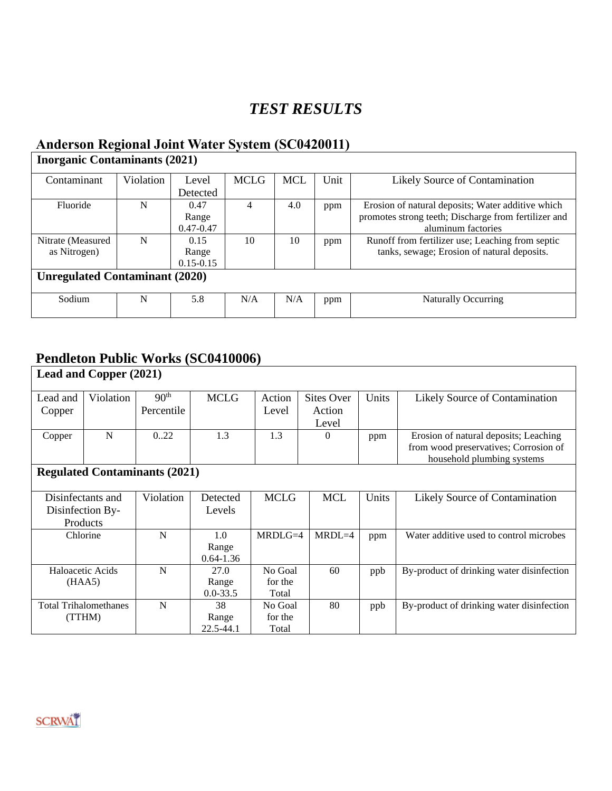# *TEST RESULTS*

## **Anderson Regional Joint Water System (SC0420011)**

| <b>Inorganic Contaminants (2021)</b>  |           |               |             |            |      |                                                      |  |  |  |  |  |  |
|---------------------------------------|-----------|---------------|-------------|------------|------|------------------------------------------------------|--|--|--|--|--|--|
| Contaminant                           | Violation | Level         | <b>MCLG</b> | <b>MCL</b> | Unit | Likely Source of Contamination                       |  |  |  |  |  |  |
|                                       |           | Detected      |             |            |      |                                                      |  |  |  |  |  |  |
| Fluoride                              | N         | 0.47          | 4           | 4.0        | ppm  | Erosion of natural deposits; Water additive which    |  |  |  |  |  |  |
|                                       |           | Range         |             |            |      | promotes strong teeth; Discharge from fertilizer and |  |  |  |  |  |  |
|                                       |           | $0.47 - 0.47$ |             |            |      | aluminum factories                                   |  |  |  |  |  |  |
| Nitrate (Measured                     | N         | 0.15          | 10          | 10         | ppm  | Runoff from fertilizer use; Leaching from septic     |  |  |  |  |  |  |
| as Nitrogen)                          |           | Range         |             |            |      | tanks, sewage; Erosion of natural deposits.          |  |  |  |  |  |  |
|                                       |           | $0.15 - 0.15$ |             |            |      |                                                      |  |  |  |  |  |  |
| <b>Unregulated Contaminant (2020)</b> |           |               |             |            |      |                                                      |  |  |  |  |  |  |
| Sodium                                | N         | 5.8           | N/A         | N/A        | ppm  | <b>Naturally Occurring</b>                           |  |  |  |  |  |  |

## **Pendleton Public Works (SC0410006)**

| Lead and Copper (2021)               |           |                                |                        |                  |                                      |       |                                                                                                              |  |  |  |  |
|--------------------------------------|-----------|--------------------------------|------------------------|------------------|--------------------------------------|-------|--------------------------------------------------------------------------------------------------------------|--|--|--|--|
| Lead and<br>Copper                   | Violation | 90 <sup>th</sup><br>Percentile | <b>MCLG</b>            | Action<br>Level  | <b>Sites Over</b><br>Action<br>Level | Units | Likely Source of Contamination                                                                               |  |  |  |  |
| Copper                               | N         | 0.22                           | 1.3                    | 1.3              | $\Omega$                             | ppm   | Erosion of natural deposits; Leaching<br>from wood preservatives; Corrosion of<br>household plumbing systems |  |  |  |  |
| <b>Regulated Contaminants (2021)</b> |           |                                |                        |                  |                                      |       |                                                                                                              |  |  |  |  |
| Disinfectants and                    |           | Violation                      | Detected               | <b>MCLG</b>      | <b>MCL</b>                           | Units | Likely Source of Contamination                                                                               |  |  |  |  |
| Disinfection By-                     |           |                                | Levels                 |                  |                                      |       |                                                                                                              |  |  |  |  |
| Products                             |           |                                |                        |                  |                                      |       |                                                                                                              |  |  |  |  |
| Chlorine                             |           | N                              | 1.0                    | $MRDLG=4$        | $MRDL=4$                             | ppm   | Water additive used to control microbes                                                                      |  |  |  |  |
|                                      |           |                                | Range<br>$0.64 - 1.36$ |                  |                                      |       |                                                                                                              |  |  |  |  |
| Haloacetic Acids                     |           | N                              | 27.0                   | No Goal          | 60                                   | ppb   | By-product of drinking water disinfection                                                                    |  |  |  |  |
| (HAA5)                               |           |                                | Range<br>$0.0 - 33.5$  | for the<br>Total |                                      |       |                                                                                                              |  |  |  |  |
| <b>Total Trihalomethanes</b>         |           | N                              | 38                     | No Goal          | 80                                   | ppb   | By-product of drinking water disinfection                                                                    |  |  |  |  |
| (TTHM)                               |           |                                | Range                  | for the          |                                      |       |                                                                                                              |  |  |  |  |
|                                      |           |                                | 22.5-44.1              | Total            |                                      |       |                                                                                                              |  |  |  |  |